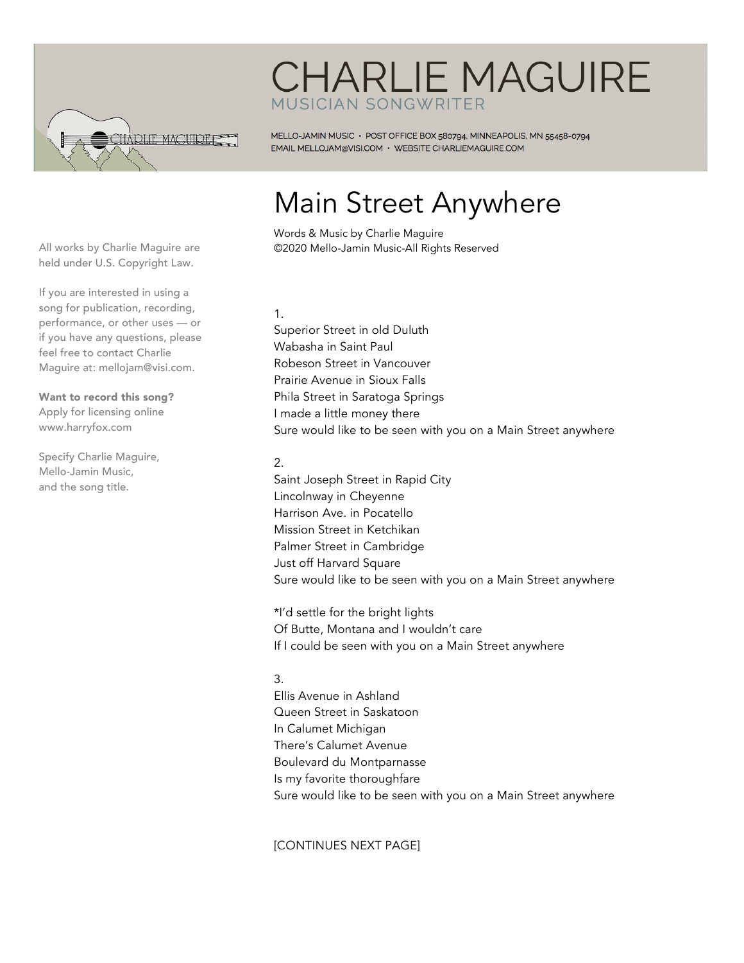

## **CHARLIE MAGUIRE** MUSICIAN SONGWRITER

MELLO-JAMIN MUSIC · POST OFFICE BOX 580794, MINNEAPOLIS, MN 55458-0794 EMAIL MELLOJAM@VISI.COM · WEBSITE CHARLIEMAGUIRE.COM

# Main Street Anywhere

Words & Music by Charlie Maguire ©2020 Mello-Jamin Music-All Rights Reserved

1.

Superior Street in old Duluth Wabasha in Saint Paul Robeson Street in Vancouver Prairie Avenue in Sioux Falls Phila Street in Saratoga Springs I made a little money there Sure would like to be seen with you on a Main Street anywhere

#### 2.

Saint Joseph Street in Rapid City Lincolnway in Cheyenne Harrison Ave. in Pocatello Mission Street in Ketchikan Palmer Street in Cambridge Just off Harvard Square Sure would like to be seen with you on a Main Street anywhere

\*I'd settle for the bright lights Of Butte, Montana and I wouldn't care If I could be seen with you on a Main Street anywhere

#### 3.

Ellis Avenue in Ashland Queen Street in Saskatoon In Calumet Michigan There's Calumet Avenue Boulevard du Montparnasse Is my favorite thoroughfare Sure would like to be seen with you on a Main Street anywhere

[CONTINUES NEXT PAGE]

All works by Charlie Maguire are held under U.S. Copyright Law.

If you are interested in using a song for publication, recording, performance, or other uses — or if you have any questions, please feel free to contact Charlie Maguire at: mellojam@visi.com.

Want to record this song? Apply for licensing online www.harryfox.com

Specify Charlie Maguire, Mello-Jamin Music, and the song title.